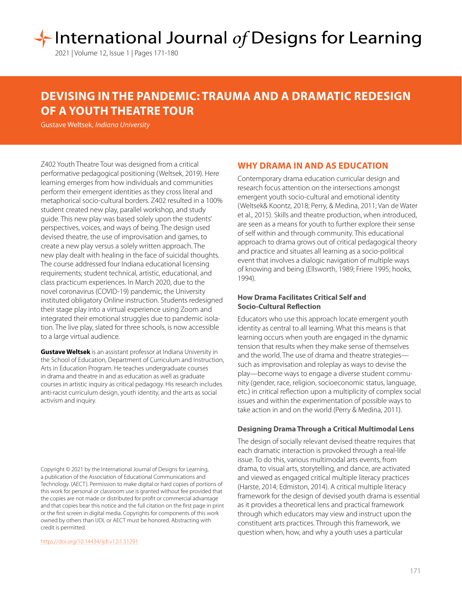# International Journal of Designs for Learning

2021 | Volume 12, Issue 1 | Pages 171-180

## **DEVISING IN THE PANDEMIC: TRAUMA AND A DRAMATIC REDESIGN OF A YOUTH THEATRE TOUR**

Gustave Weltsek, *Indiana University*

Z402 Youth Theatre Tour was designed from a critical performative pedagogical positioning (Weltsek, 2019). Here learning emerges from how individuals and communities perform their emergent identities as they cross literal and metaphorical socio-cultural borders. Z402 resulted in a 100% student created new play, parallel workshop, and study guide. This new play was based solely upon the students' perspectives, voices, and ways of being. The design used devised theatre, the use of improvisation and games, to create a new play versus a solely written approach. The new play dealt with healing in the face of suicidal thoughts. The course addressed four Indiana educational licensing requirements; student technical, artistic, educational, and class practicum experiences. In March 2020, due to the novel coronavirus (COVID-19) pandemic, the University instituted obligatory Online instruction. Students redesigned their stage play into a virtual experience using Zoom and integrated their emotional struggles due to pandemic isolation. The live play, slated for three schools, is now accessible to a large virtual audience.

**Gustave Weltsek** is an assistant professor at Indiana University in the School of Education, Department of Curriculum and Instruction, Arts in Education Program. He teaches undergraduate courses in drama and theatre in and as education as well as graduate courses in artistic inquiry as critical pedagogy. His research includes anti-racist curriculum design, youth identity, and the arts as social activism and inquiry.

Copyright © 2021 by the International Journal of Designs for Learning, a publication of the Association of Educational Communications and Technology. (AECT). Permission to make digital or hard copies of portions of this work for personal or classroom use is granted without fee provided that the copies are not made or distributed for profit or commercial advantage and that copies bear this notice and the full citation on the first page in print or the first screen in digital media. Copyrights for components of this work owned by others than IJDL or AECT must be honored. Abstracting with credit is permitted.

[https://doi.org/](https://doi.org/10.14434/ijdl.v12i1.31291)10.14434/ijdl.v12i1.31291

#### **WHY DRAMA IN AND AS EDUCATION**

Contemporary drama education curricular design and research focus attention on the intersections amongst emergent youth socio-cultural and emotional identity (Weltsek& Koontz, 2018; Perry, & Medina, 2011; Van de Water et al., 2015). Skills and theatre production, when introduced, are seen as a means for youth to further explore their sense of self within and through community. This educational approach to drama grows out of critical pedagogical theory and practice and situates all learning as a socio-political event that involves a dialogic navigation of multiple ways of knowing and being (Ellsworth, 1989; Friere 1995; hooks, 1994).

#### **How Drama Facilitates Critical Self and Socio-Cultural Reflection**

Educators who use this approach locate emergent youth identity as central to all learning. What this means is that learning occurs when youth are engaged in the dynamic tension that results when they make sense of themselves and the world. The use of drama and theatre strategies such as improvisation and roleplay as ways to devise the play—become ways to engage a diverse student community (gender, race, religion, socioeconomic status, language, etc.) in critical reflection upon a multiplicity of complex social issues and within the experimentation of possible ways to take action in and on the world (Perry & Medina, 2011).

#### **Designing Drama Through a Critical Multimodal Lens**

The design of socially relevant devised theatre requires that each dramatic interaction is provoked through a real-life issue. To do this, various multimodal arts events, from drama, to visual arts, storytelling, and dance, are activated and viewed as engaged critical multiple literacy practices (Harste, 2014; Edmiston, 2014). A critical multiple literacy framework for the design of devised youth drama is essential as it provides a theoretical lens and practical framework through which educators may view and instruct upon the constituent arts practices. Through this framework, we question when, how, and why a youth uses a particular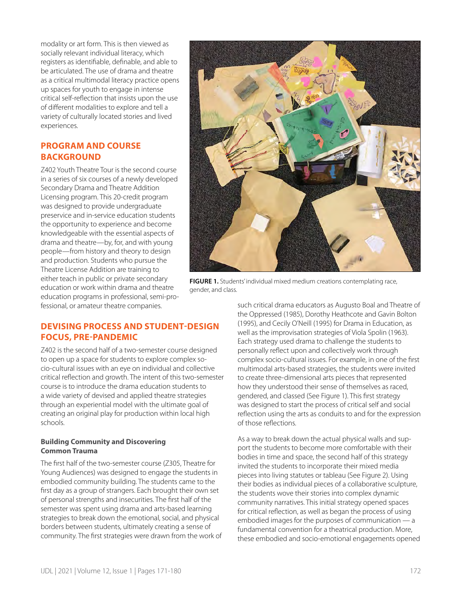modality or art form. This is then viewed as socially relevant individual literacy, which registers as identifiable, definable, and able to be articulated. The use of drama and theatre as a critical multimodal literacy practice opens up spaces for youth to engage in intense critical self-reflection that insists upon the use of different modalities to explore and tell a variety of culturally located stories and lived experiences.

#### **PROGRAM AND COURSE BACKGROUND**

Z402 Youth Theatre Tour is the second course in a series of six courses of a newly developed Secondary Drama and Theatre Addition Licensing program. This 20-credit program was designed to provide undergraduate preservice and in-service education students the opportunity to experience and become knowledgeable with the essential aspects of drama and theatre—by, for, and with young people—from history and theory to design and production. Students who pursue the Theatre License Addition are training to either teach in public or private secondary education or work within drama and theatre education programs in professional, semi-professional, or amateur theatre companies.

**FIGURE 1.** Students' individual mixed medium creations contemplating race, gender, and class.

### **DEVISING PROCESS AND STUDENT-DESIGN FOCUS, PRE-PANDEMIC**

Z402 is the second half of a two-semester course designed to open up a space for students to explore complex socio-cultural issues with an eye on individual and collective critical reflection and growth. The intent of this two-semester course is to introduce the drama education students to a wide variety of devised and applied theatre strategies through an experiential model with the ultimate goal of creating an original play for production within local high schools.

#### **Building Community and Discovering Common Trauma**

The first half of the two-semester course (Z305, Theatre for Young Audiences) was designed to engage the students in embodied community building. The students came to the first day as a group of strangers. Each brought their own set of personal strengths and insecurities. The first half of the semester was spent using drama and arts-based learning strategies to break down the emotional, social, and physical borders between students, ultimately creating a sense of community. The first strategies were drawn from the work of such critical drama educators as Augusto Boal and Theatre of the Oppressed (1985), Dorothy Heathcote and Gavin Bolton (1995), and Cecily O'Neill (1995) for Drama in Education, as well as the improvisation strategies of Viola Spolin (1963). Each strategy used drama to challenge the students to personally reflect upon and collectively work through complex socio-cultural issues. For example, in one of the first multimodal arts-based strategies, the students were invited to create three-dimensional arts pieces that represented how they understood their sense of themselves as raced, gendered, and classed (See Figure 1). This first strategy was designed to start the process of critical self and social reflection using the arts as conduits to and for the expression of those reflections.

As a way to break down the actual physical walls and support the students to become more comfortable with their bodies in time and space, the second half of this strategy invited the students to incorporate their mixed media pieces into living statutes or tableau (See Figure 2). Using their bodies as individual pieces of a collaborative sculpture, the students wove their stories into complex dynamic community narratives. This initial strategy opened spaces for critical reflection, as well as began the process of using embodied images for the purposes of communication — a fundamental convention for a theatrical production. More, these embodied and socio-emotional engagements opened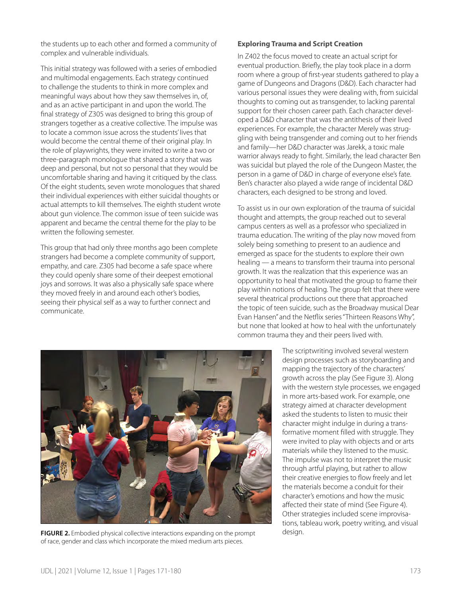the students up to each other and formed a community of complex and vulnerable individuals.

This initial strategy was followed with a series of embodied and multimodal engagements. Each strategy continued to challenge the students to think in more complex and meaningful ways about how they saw themselves in, of, and as an active participant in and upon the world. The final strategy of Z305 was designed to bring this group of strangers together as a creative collective. The impulse was to locate a common issue across the students' lives that would become the central theme of their original play. In the role of playwrights, they were invited to write a two or three-paragraph monologue that shared a story that was deep and personal, but not so personal that they would be uncomfortable sharing and having it critiqued by the class. Of the eight students, seven wrote monologues that shared their individual experiences with either suicidal thoughts or actual attempts to kill themselves. The eighth student wrote about gun violence. The common issue of teen suicide was apparent and became the central theme for the play to be written the following semester.

This group that had only three months ago been complete strangers had become a complete community of support, empathy, and care. Z305 had become a safe space where they could openly share some of their deepest emotional joys and sorrows. It was also a physically safe space where they moved freely in and around each other's bodies, seeing their physical self as a way to further connect and communicate.

#### **Exploring Trauma and Script Creation**

In Z402 the focus moved to create an actual script for eventual production. Briefly, the play took place in a dorm room where a group of first-year students gathered to play a game of Dungeons and Dragons (D&D). Each character had various personal issues they were dealing with, from suicidal thoughts to coming out as transgender, to lacking parental support for their chosen career path. Each character developed a D&D character that was the antithesis of their lived experiences. For example, the character Merely was struggling with being transgender and coming out to her friends and family—her D&D character was Jarekk, a toxic male warrior always ready to fight. Similarly, the lead character Ben was suicidal but played the role of the Dungeon Master, the person in a game of D&D in charge of everyone else's fate. Ben's character also played a wide range of incidental D&D characters, each designed to be strong and loved.

To assist us in our own exploration of the trauma of suicidal thought and attempts, the group reached out to several campus centers as well as a professor who specialized in trauma education. The writing of the play now moved from solely being something to present to an audience and emerged as space for the students to explore their own healing — a means to transform their trauma into personal growth. It was the realization that this experience was an opportunity to heal that motivated the group to frame their play within notions of healing. The group felt that there were several theatrical productions out there that approached the topic of teen suicide, such as the Broadway musical Dear Evan Hansen" and the Netflix series "Thirteen Reasons Why", but none that looked at how to heal with the unfortunately common trauma they and their peers lived with.



**FIGURE 2.** Embodied physical collective interactions expanding on the prompt design. of race, gender and class which incorporate the mixed medium arts pieces.

The scriptwriting involved several western design processes such as storyboarding and mapping the trajectory of the characters' growth across the play (See Figure 3). Along with the western style processes, we engaged in more arts-based work. For example, one strategy aimed at character development asked the students to listen to music their character might indulge in during a transformative moment filled with struggle. They were invited to play with objects and or arts materials while they listened to the music. The impulse was not to interpret the music through artful playing, but rather to allow their creative energies to flow freely and let the materials become a conduit for their character's emotions and how the music affected their state of mind (See Figure 4). Other strategies included scene improvisations, tableau work, poetry writing, and visual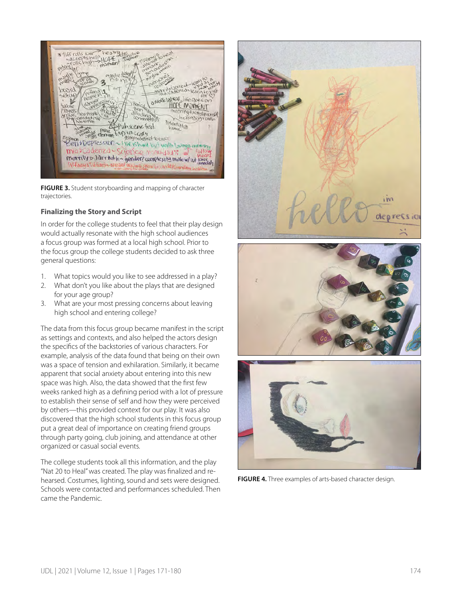

**FIGURE 3.** Student storyboarding and mapping of character trajectories.

#### **Finalizing the Story and Script**

In order for the college students to feel that their play design would actually resonate with the high school audiences a focus group was formed at a local high school. Prior to the focus group the college students decided to ask three general questions:

- 1. What topics would you like to see addressed in a play?
- 2. What don't you like about the plays that are designed for your age group?
- 3. What are your most pressing concerns about leaving high school and entering college?

The data from this focus group became manifest in the script as settings and contexts, and also helped the actors design the specifics of the backstories of various characters. For example, analysis of the data found that being on their own was a space of tension and exhilaration. Similarly, it became apparent that social anxiety about entering into this new space was high. Also, the data showed that the first few weeks ranked high as a defining period with a lot of pressure to establish their sense of self and how they were perceived by others—this provided context for our play. It was also discovered that the high school students in this focus group put a great deal of importance on creating friend groups through party going, club joining, and attendance at other organized or casual social events.

The college students took all this information, and the play "Nat 20 to Heal" was created. The play was finalized and rehearsed. Costumes, lighting, sound and sets were designed. Schools were contacted and performances scheduled. Then came the Pandemic.







**FIGURE 4.** Three examples of arts-based character design.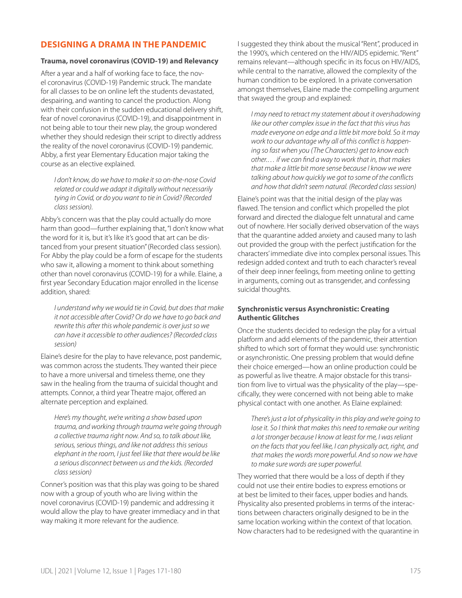#### **DESIGNING A DRAMA IN THE PANDEMIC**

#### **Trauma, novel coronavirus (COVID-19) and Relevancy**

After a year and a half of working face to face, the novel coronavirus (COVID-19) Pandemic struck. The mandate for all classes to be on online left the students devastated, despairing, and wanting to cancel the production. Along with their confusion in the sudden educational delivery shift, fear of novel coronavirus (COVID-19), and disappointment in not being able to tour their new play, the group wondered whether they should redesign their script to directly address the reality of the novel coronavirus (COVID-19) pandemic. Abby, a first year Elementary Education major taking the course as an elective explained.

*I don't know, do we have to make it so on-the-nose Covid related or could we adapt it digitally without necessarily tying in Covid, or do you want to tie in Covid? (Recorded class session).* 

Abby's concern was that the play could actually do more harm than good—further explaining that, "I don't know what the word for it is, but it's like it's good that art can be distanced from your present situation" (Recorded class session). For Abby the play could be a form of escape for the students who saw it, allowing a moment to think about something other than novel coronavirus (COVID-19) for a while. Elaine, a first year Secondary Education major enrolled in the license addition, shared:

*I understand why we would tie in Covid, but does that make it not accessible after Covid? Or do we have to go back and rewrite this after this whole pandemic is over just so we can have it accessible to other audiences? (Recorded class session)*

Elaine's desire for the play to have relevance, post pandemic, was common across the students. They wanted their piece to have a more universal and timeless theme, one they saw in the healing from the trauma of suicidal thought and attempts. Connor, a third year Theatre major, offered an alternate perception and explained.

*Here's my thought, we're writing a show based upon trauma, and working through trauma we're going through a collective trauma right now. And so, to talk about like, serious, serious things, and like not address this serious elephant in the room, I just feel like that there would be like a serious disconnect between us and the kids. (Recorded class session)* 

Conner's position was that this play was going to be shared now with a group of youth who are living within the novel coronavirus (COVID-19) pandemic and addressing it would allow the play to have greater immediacy and in that way making it more relevant for the audience.

I suggested they think about the musical "Rent", produced in the 1990's, which centered on the HIV/AIDS epidemic. "Rent" remains relevant—although specific in its focus on HIV/AIDS, while central to the narrative, allowed the complexity of the human condition to be explored. In a private conversation amongst themselves, Elaine made the compelling argument that swayed the group and explained:

*I may need to retract my statement about it overshadowing like our other complex issue in the fact that this virus has made everyone on edge and a little bit more bold. So it may work to our advantage why all of this conflict is happening so fast when you (The Characters) get to know each other.… if we can find a way to work that in, that makes that make a little bit more sense because I know we were talking about how quickly we got to some of the conflicts and how that didn't seem natural. (Recorded class session)* 

Elaine's point was that the initial design of the play was flawed. The tension and conflict which propelled the plot forward and directed the dialogue felt unnatural and came out of nowhere. Her socially derived observation of the ways that the quarantine added anxiety and caused many to lash out provided the group with the perfect justification for the characters' immediate dive into complex personal issues. This redesign added context and truth to each character's reveal of their deep inner feelings, from meeting online to getting in arguments, coming out as transgender, and confessing suicidal thoughts.

#### **Synchronistic versus Asynchronistic: Creating Authentic Glitches**

Once the students decided to redesign the play for a virtual platform and add elements of the pandemic, their attention shifted to which sort of format they would use: synchronistic or asynchronistic. One pressing problem that would define their choice emerged—how an online production could be as powerful as live theatre. A major obstacle for this transition from live to virtual was the physicality of the play—specifically, they were concerned with not being able to make physical contact with one another. As Elaine explained:

*There's just a lot of physicality in this play and we're going to lose it. So I think that makes this need to remake our writing a lot stronger because I know at least for me, I was reliant on the facts that you feel like, I can physically act, right, and that makes the words more powerful. And so now we have to make sure words are super powerful.*

They worried that there would be a loss of depth if they could not use their entire bodies to express emotions or at best be limited to their faces, upper bodies and hands. Physicality also presented problems in terms of the interactions between characters originally designed to be in the same location working within the context of that location. Now characters had to be redesigned with the quarantine in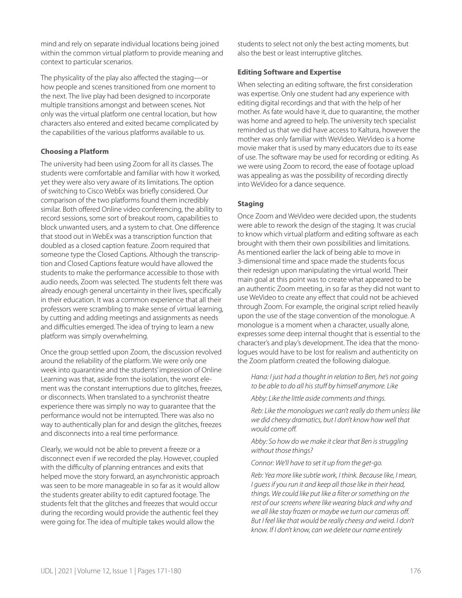mind and rely on separate individual locations being joined within the common virtual platform to provide meaning and context to particular scenarios.

The physicality of the play also affected the staging—or how people and scenes transitioned from one moment to the next. The live play had been designed to incorporate multiple transitions amongst and between scenes. Not only was the virtual platform one central location, but how characters also entered and exited became complicated by the capabilities of the various platforms available to us.

#### **Choosing a Platform**

The university had been using Zoom for all its classes. The students were comfortable and familiar with how it worked, yet they were also very aware of its limitations. The option of switching to Cisco WebEx was briefly considered. Our comparison of the two platforms found them incredibly similar. Both offered Online video conferencing, the ability to record sessions, some sort of breakout room, capabilities to block unwanted users, and a system to chat. One difference that stood out in WebEx was a transcription function that doubled as a closed caption feature. Zoom required that someone type the Closed Captions. Although the transcription and Closed Captions feature would have allowed the students to make the performance accessible to those with audio needs, Zoom was selected. The students felt there was already enough general uncertainty in their lives, specifically in their education. It was a common experience that all their professors were scrambling to make sense of virtual learning, by cutting and adding meetings and assignments as needs and difficulties emerged. The idea of trying to learn a new platform was simply overwhelming.

Once the group settled upon Zoom, the discussion revolved around the reliability of the platform. We were only one week into quarantine and the students' impression of Online Learning was that, aside from the isolation, the worst element was the constant interruptions due to glitches, freezes, or disconnects. When translated to a synchronist theatre experience there was simply no way to guarantee that the performance would not be interrupted. There was also no way to authentically plan for and design the glitches, freezes and disconnects into a real time performance.

Clearly, we would not be able to prevent a freeze or a disconnect even if we recorded the play. However, coupled with the difficulty of planning entrances and exits that helped move the story forward, an asynchronistic approach was seen to be more manageable in so far as it would allow the students greater ability to edit captured footage. The students felt that the glitches and freezes that would occur during the recording would provide the authentic feel they were going for. The idea of multiple takes would allow the

students to select not only the best acting moments, but also the best or least interruptive glitches.

#### **Editing Software and Expertise**

When selecting an editing software, the first consideration was expertise. Only one student had any experience with editing digital recordings and that with the help of her mother. As fate would have it, due to quarantine, the mother was home and agreed to help. The university tech specialist reminded us that we did have access to Kaltura, however the mother was only familiar with WeVideo. WeVideo is a home movie maker that is used by many educators due to its ease of use. The software may be used for recording or editing. As we were using Zoom to record, the ease of footage upload was appealing as was the possibility of recording directly into WeVideo for a dance sequence.

#### **Staging**

Once Zoom and WeVideo were decided upon, the students were able to rework the design of the staging. It was crucial to know which virtual platform and editing software as each brought with them their own possibilities and limitations. As mentioned earlier the lack of being able to move in 3-dimensional time and space made the students focus their redesign upon manipulating the virtual world. Their main goal at this point was to create what appeared to be an authentic Zoom meeting, in so far as they did not want to use WeVideo to create any effect that could not be achieved through Zoom. For example, the original script relied heavily upon the use of the stage convention of the monologue. A monologue is a moment when a character, usually alone, expresses some deep internal thought that is essential to the character's and play's development. The idea that the monologues would have to be lost for realism and authenticity on the Zoom platform created the following dialogue.

*Hana: I just had a thought in relation to Ben, he's not going to be able to do all his stuff by himself anymore. Like* 

*Abby: Like the little aside comments and things.* 

*Reb: Like the monologues we can't really do them unless like we did cheesy dramatics, but I don't know how well that would come off.*

*Abby: So how do we make it clear that Ben is struggling without those things?*

*Connor: We'll have to set it up from the get-go.*

*Reb: Yea more like subtle work, I think. Because like, I mean, I guess if you run it and keep all those like in their head, things. We could like put like a filter or something on the rest of our screens where like wearing black and why and we all like stay frozen or maybe we turn our cameras off. But I feel like that would be really cheesy and weird. I don't know. If I don't know, can we delete our name entirely*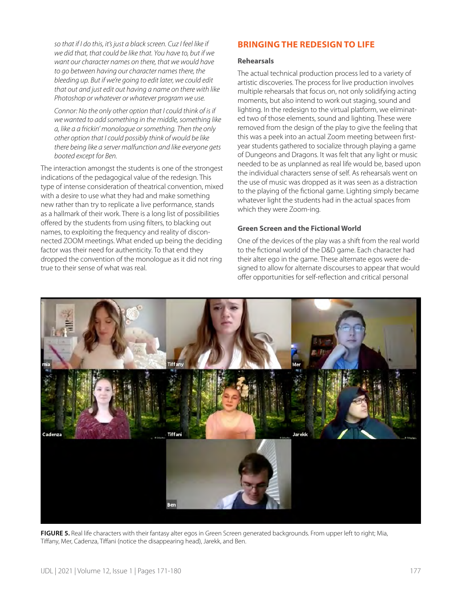*so that if I do this, it's just a black screen. Cuz I feel like if we did that, that could be like that. You have to, but if we want our character names on there, that we would have to go between having our character names there, the bleeding up. But if we're going to edit later, we could edit that out and just edit out having a name on there with like Photoshop or whatever or whatever program we use.*

*Connor: No the only other option that I could think of is if we wanted to add something in the middle, something like a, like a a frickin' monologue or something. Then the only other option that I could possibly think of would be like there being like a server malfunction and like everyone gets booted except for Ben.*

The interaction amongst the students is one of the strongest indications of the pedagogical value of the redesign. This type of intense consideration of theatrical convention, mixed with a desire to use what they had and make something new rather than try to replicate a live performance, stands as a hallmark of their work. There is a long list of possibilities offered by the students from using filters, to blacking out names, to exploiting the frequency and reality of disconnected ZOOM meetings. What ended up being the deciding factor was their need for authenticity. To that end they dropped the convention of the monologue as it did not ring true to their sense of what was real.

### **BRINGING THE REDESIGN TO LIFE**

#### **Rehearsals**

The actual technical production process led to a variety of artistic discoveries. The process for live production involves multiple rehearsals that focus on, not only solidifying acting moments, but also intend to work out staging, sound and lighting. In the redesign to the virtual platform, we eliminated two of those elements, sound and lighting. These were removed from the design of the play to give the feeling that this was a peek into an actual Zoom meeting between firstyear students gathered to socialize through playing a game of Dungeons and Dragons. It was felt that any light or music needed to be as unplanned as real life would be, based upon the individual characters sense of self. As rehearsals went on the use of music was dropped as it was seen as a distraction to the playing of the fictional game. Lighting simply became whatever light the students had in the actual spaces from which they were Zoom-ing.

#### **Green Screen and the Fictional World**

One of the devices of the play was a shift from the real world to the fictional world of the D&D game. Each character had their alter ego in the game. These alternate egos were designed to allow for alternate discourses to appear that would offer opportunities for self-reflection and critical personal



**FIGURE 5.** Real life characters with their fantasy alter egos in Green Screen generated backgrounds. From upper left to right; Mia, Tiffany, Mer, Cadenza, Tiffani (notice the disappearing head), Jarekk, and Ben.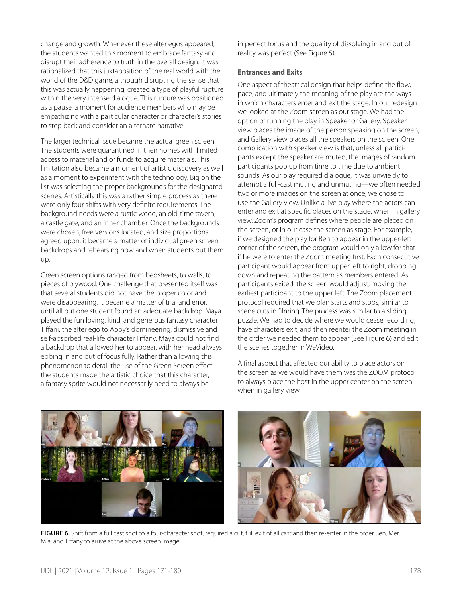change and growth. Whenever these alter egos appeared, the students wanted this moment to embrace fantasy and disrupt their adherence to truth in the overall design. It was rationalized that this juxtaposition of the real world with the world of the D&D game, although disrupting the sense that this was actually happening, created a type of playful rupture within the very intense dialogue. This rupture was positioned as a pause, a moment for audience members who may be empathizing with a particular character or character's stories to step back and consider an alternate narrative.

The larger technical issue became the actual green screen. The students were quarantined in their homes with limited access to material and or funds to acquire materials. This limitation also became a moment of artistic discovery as well as a moment to experiment with the technology. Big on the list was selecting the proper backgrounds for the designated scenes. Artistically this was a rather simple process as there were only four shifts with very definite requirements. The background needs were a rustic wood, an old-time tavern, a castle gate, and an inner chamber. Once the backgrounds were chosen, free versions located, and size proportions agreed upon, it became a matter of individual green screen backdrops and rehearsing how and when students put them up.

Green screen options ranged from bedsheets, to walls, to pieces of plywood. One challenge that presented itself was that several students did not have the proper color and were disappearing. It became a matter of trial and error, until all but one student found an adequate backdrop. Maya played the fun loving, kind, and generous fantasy character Tiffani, the alter ego to Abby's domineering, dismissive and self-absorbed real-life character Tiffany. Maya could not find a backdrop that allowed her to appear, with her head always ebbing in and out of focus fully. Rather than allowing this phenomenon to derail the use of the Green Screen effect the students made the artistic choice that this character, a fantasy sprite would not necessarily need to always be

in perfect focus and the quality of dissolving in and out of reality was perfect (See Figure 5).

#### **Entrances and Exits**

One aspect of theatrical design that helps define the flow, pace, and ultimately the meaning of the play are the ways in which characters enter and exit the stage. In our redesign we looked at the Zoom screen as our stage. We had the option of running the play in Speaker or Gallery. Speaker view places the image of the person speaking on the screen, and Gallery view places all the speakers on the screen. One complication with speaker view is that, unless all participants except the speaker are muted, the images of random participants pop up from time to time due to ambient sounds. As our play required dialogue, it was unwieldy to attempt a full-cast muting and unmuting—we often needed two or more images on the screen at once, we chose to use the Gallery view. Unlike a live play where the actors can enter and exit at specific places on the stage, when in gallery view, Zoom's program defines where people are placed on the screen, or in our case the screen as stage. For example, if we designed the play for Ben to appear in the upper-left corner of the screen, the program would only allow for that if he were to enter the Zoom meeting first. Each consecutive participant would appear from upper left to right, dropping down and repeating the pattern as members entered. As participants exited, the screen would adjust, moving the earliest participant to the upper left. The Zoom placement protocol required that we plan starts and stops, similar to scene cuts in filming. The process was similar to a sliding puzzle. We had to decide where we would cease recording, have characters exit, and then reenter the Zoom meeting in the order we needed them to appear (See Figure 6) and edit the scenes together in WeVideo.

A final aspect that affected our ability to place actors on the screen as we would have them was the ZOOM protocol to always place the host in the upper center on the screen when in gallery view.





**FIGURE 6.** Shift from a full cast shot to a four-character shot, required a cut, full exit of all cast and then re-enter in the order Ben, Mer, Mia, and Tiffany to arrive at the above screen image.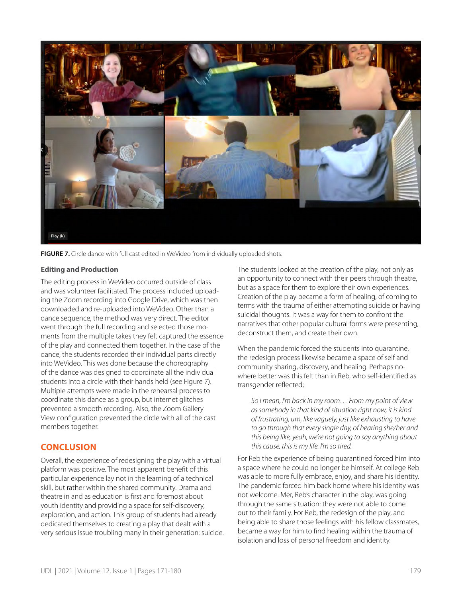

**FIGURE 7.** Circle dance with full cast edited in WeVideo from individually uploaded shots.

#### **Editing and Production**

The editing process in WeVideo occurred outside of class and was volunteer facilitated. The process included uploading the Zoom recording into Google Drive, which was then downloaded and re-uploaded into WeVideo. Other than a dance sequence, the method was very direct. The editor went through the full recording and selected those moments from the multiple takes they felt captured the essence of the play and connected them together. In the case of the dance, the students recorded their individual parts directly into WeVideo. This was done because the choreography of the dance was designed to coordinate all the individual students into a circle with their hands held (see Figure 7). Multiple attempts were made in the rehearsal process to coordinate this dance as a group, but internet glitches prevented a smooth recording. Also, the Zoom Gallery View configuration prevented the circle with all of the cast members together.

### **CONCLUSION**

Overall, the experience of redesigning the play with a virtual platform was positive. The most apparent benefit of this particular experience lay not in the learning of a technical skill, but rather within the shared community. Drama and theatre in and as education is first and foremost about youth identity and providing a space for self-discovery, exploration, and action. This group of students had already dedicated themselves to creating a play that dealt with a very serious issue troubling many in their generation: suicide. The students looked at the creation of the play, not only as an opportunity to connect with their peers through theatre, but as a space for them to explore their own experiences. Creation of the play became a form of healing, of coming to terms with the trauma of either attempting suicide or having suicidal thoughts. It was a way for them to confront the narratives that other popular cultural forms were presenting, deconstruct them, and create their own.

When the pandemic forced the students into quarantine, the redesign process likewise became a space of self and community sharing, discovery, and healing. Perhaps nowhere better was this felt than in Reb, who self-identified as transgender reflected;

*So I mean, I'm back in my room… From my point of view as somebody in that kind of situation right now, it is kind of frustrating, um, like vaguely, just like exhausting to have to go through that every single day, of hearing she/her and this being like, yeah, we're not going to say anything about this cause, this is my life. I'm so tired.*

For Reb the experience of being quarantined forced him into a space where he could no longer be himself. At college Reb was able to more fully embrace, enjoy, and share his identity. The pandemic forced him back home where his identity was not welcome. Mer, Reb's character in the play, was going through the same situation: they were not able to come out to their family. For Reb, the redesign of the play, and being able to share those feelings with his fellow classmates, became a way for him to find healing within the trauma of isolation and loss of personal freedom and identity.